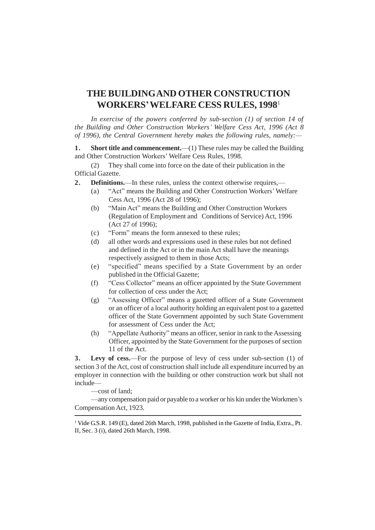## **THE BUILDINGAND OTHER CONSTRUCTION WORKERS'WELFARE CESS RULES, 1998** 1

*In exercise of the powers conferred by sub-section (1) of section 14 of the Building and Other Construction Workers' Welfare Cess Act, 1996 (Act 8 of 1996), the Central Government hereby makes the following rules, namely:—*

**1. Short title and commencement.**—(1) These rules may be called the Building and Other Construction Workers' Welfare Cess Rules, 1998.

(2) They shall come into force on the date of their publication in the Official Gazette.

- **2. Definitions.**—In these rules, unless the context otherwise requires,—
	- (a) "Act" means the Building and Other Construction Workers' Welfare Cess Act, 1996 (Act 28 of 1996);
	- (b) "Main Act" means the Building and Other Construction Workers (Regulation of Employment and Conditions of Service) Act, 1996 (Act 27 of 1996);
	- (c) "Form" means the form annexed to these rules;
	- (d) all other words and expressions used in these rules but not defined and defined in the Act or in the main Act shall have the meanings respectively assigned to them in those Acts;
	- (e) "specified" means specified by a State Government by an order published in the Official Gazette;
	- (f) "Cess Collector" means an officer appointed by the State Government for collection of cess under the Act;
	- (g) "Assessing Officer" means a gazetted officer of a State Government or an officer of a local authority holding an equivalent post to a gazetted officer of the State Government appointed by such State Government for assessment of Cess under the Act;
	- (h) "Appellate Authority" means an officer, senior in rank to the Assessing Officer, appointed by the State Government for the purposes of section 11 of the Act.

**3. Levy of cess.**—For the purpose of levy of cess under sub-section (1) of section 3 of the Act, cost of construction shall include all expenditure incurred by an employer in connection with the building or other construction work but shall not include—

—cost of land;

—any compensation paid or payable to a worker or his kin under the Workmen's Compensation Act, 1923.

<sup>&</sup>lt;sup>1</sup> Vide G.S.R. 149 (E), dated 26th March, 1998, published in the Gazette of India, Extra., Pt. II, Sec. 3 (i), dated 26th March, 1998.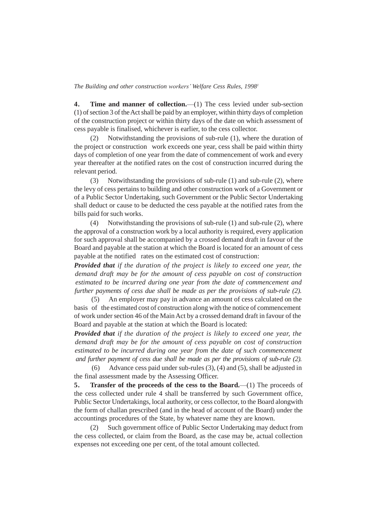*The Building and other construction workers' Welfare Cess Rules, 1998 1*

**4. Time and manner of collection.**—(1) The cess levied under sub-section  $(1)$  of section 3 of the Act shall be paid by an employer, within thirty days of completion of the construction project or within thirty days of the date on which assessment of cess payable is finalised, whichever is earlier, to the cess collector.

(2) Notwithstanding the provisions of sub-rule (1), where the duration of the project or construction work exceeds one year, cess shall be paid within thirty days of completion of one year from the date of commencement of work and every year thereafter at the notified rates on the cost of construction incurred during the relevant period.

(3) Notwithstanding the provisions of sub-rule (1) and sub-rule (2), where the levy of cess pertains to building and other construction work of a Government or of a Public Sector Undertaking, such Government or the Public Sector Undertaking shall deduct or cause to be deducted the cess payable at the notified rates from the bills paid for such works.

(4) Notwithstanding the provisions of sub-rule (1) and sub-rule (2), where the approval of a construction work by a local authority is required, every application for such approval shall be accompanied by a crossed demand draft in favour of the Board and payable at the station at which the Board is located for an amount of cess payable at the notified rates on the estimated cost of construction:

*Provided that if the duration of the project is likely to exceed one year, the demand draft may be for the amount of cess payable on cost of construction estimated to be incurred during one year from the date of commencement and further payments of cess due shall be made as per the provisions of sub-rule (2).* 

(5) An employer may pay in advance an amount of cess calculated on the basis of the estimated cost of construction along with the notice of commencement of work undersection 46 of the MainAct by a crossed demand draft in favour of the Board and payable at the station at which the Board is located:

*Provided that if the duration of the project is likely to exceed one year, the demand draft may be for the amount of cess payable on cost of construction estimated to be incurred during one year from the date of such commencement and further payment of cess due shall be made as per the provisions of sub-rule (2).* 

(6) Advance cess paid under sub-rules (3), (4) and (5), shall be adjusted in the final assessment made by the Assessing Officer.

**5. Transfer of the proceeds of the cess to the Board.**—(1) The proceeds of the cess collected under rule 4 shall be transferred by such Government office, Public Sector Undertakings, local authority, or cess collector, to the Board alongwith the form of challan prescribed (and in the head of account of the Board) under the accountings procedures of the State, by whatever name they are known.

(2) Such government office of Public Sector Undertaking may deduct from the cess collected, or claim from the Board, as the case may be, actual collection expenses not exceeding one per cent, of the total amount collected.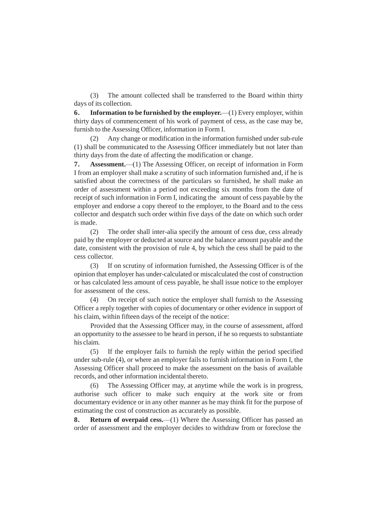(3) The amount collected shall be transferred to the Board within thirty days of its collection.

**6. Information to be furnished by the employer.**—(1) Every employer, within thirty days of commencement of his work of payment of cess, as the case may be, furnish to the Assessing Officer, information in Form I.

(2) Any change or modification in the information furnished under sub-rule (1) shall be communicated to the Assessing Officer immediately but not later than thirty days from the date of affecting the modification or change.

**7. Assessment.**—(1) The Assessing Officer, on receipt of information in Form I from an employer shall make a scrutiny of such information furnished and, if he is satisfied about the correctness of the particulars so furnished, he shall make an order of assessment within a period not exceeding six months from the date of receipt of such information in Form I, indicating the amount of cess payable by the employer and endorse a copy thereof to the employer, to the Board and to the cess collector and despatch such order within five days of the date on which such order is made.

(2) The order shall inter-alia specify the amount of cess due, cess already paid by the employer or deducted at source and the balance amount payable and the date, consistent with the provision of rule 4, by which the cess shall be paid to the cess collector.

(3) If on scrutiny of information furnished, the Assessing Officer is of the opinion that employer has under-calculated or miscalculated the cost of construction or has calculated less amount of cess payable, he shall issue notice to the employer for assessment of the cess.

(4) On receipt of such notice the employer shall furnish to the Assessing Officer a reply together with copies of documentary or other evidence in support of his claim, within fifteen days of the receipt of the notice:

Provided that the Assessing Officer may, in the course of assessment, afford an opportunity to the assessee to be heard in person, if he so requests to substantiate his claim.

(5) If the employer fails to furnish the reply within the period specified under sub-rule (4), or where an employer fails to furnish information in Form I, the Assessing Officer shall proceed to make the assessment on the basis of available records, and other information incidental thereto.

(6) The Assessing Officer may, at anytime while the work is in progress, authorise such officer to make such enquiry at the work site or from documentary evidence or in any other manner as he may think fit for the purpose of estimating the cost of construction as accurately as possible.

**8. Return of overpaid cess.**—(1) Where the Assessing Officer has passed an order of assessment and the employer decides to withdraw from or foreclose the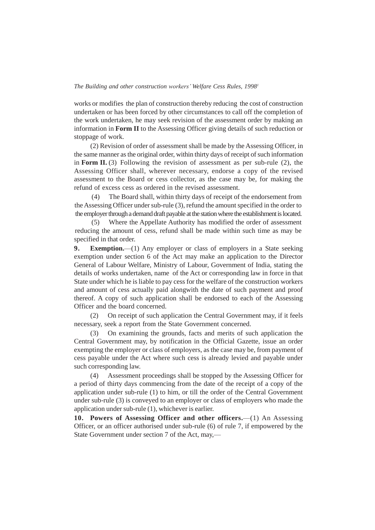## *The Building and other construction workers' Welfare Cess Rules, 1998 1*

works or modifies the plan of construction thereby reducing the cost of construction undertaken or has been forced by other circumstances to call off the completion of the work undertaken, he may seek revision of the assessment order by making an information in **Form II** to the Assessing Officer giving details of such reduction or stoppage of work.

(2) Revision of order of assessment shall be made by the Assessing Officer, in the same manner as the original order, within thirty days of receipt of such information in **Form II.** (3) Following the revision of assessment as per sub-rule (2), the Assessing Officer shall, wherever necessary, endorse a copy of the revised assessment to the Board or cess collector, as the case may be, for making the refund of excess cess as ordered in the revised assessment.

(4) The Board shall, within thirty days of receipt of the endorsement from the Assessing Officer under sub-rule (3), refund the amount specified in the order to the employer through a demand draft payable at the station where the establishment is located.

(5) Where the Appellate Authority has modified the order of assessment reducing the amount of cess, refund shall be made within such time as may be specified in that order.

**9. Exemption.**—(1) Any employer or class of employers in a State seeking exemption under section 6 of the Act may make an application to the Director General of Labour Welfare, Ministry of Labour, Government of India, stating the details of works undertaken, name of the Act or corresponding law in force in that State under which he is liable to pay cess for the welfare of the construction workers and amount of cess actually paid alongwith the date of such payment and proof thereof. A copy of such application shall be endorsed to each of the Assessing Officer and the board concerned.

(2) On receipt of such application the Central Government may, if it feels necessary, seek a report from the State Government concerned.

(3) On examining the grounds, facts and merits of such application the Central Government may, by notification in the Official Gazette, issue an order exempting the employer or class of employers, as the case may be, from payment of cess payable under the Act where such cess is already levied and payable under such corresponding law.

(4) Assessment proceedings shall be stopped by the Assessing Officer for a period of thirty days commencing from the date of the receipt of a copy of the application under sub-rule (1) to him, or till the order of the Central Government under sub-rule (3) is conveyed to an employer or class of employers who made the application under sub-rule (1), whichever is earlier.

**10. Powers of Assessing Officer and other officers.**—(1) An Assessing Officer, or an officer authorised under sub-rule (6) of rule 7, if empowered by the State Government under section 7 of the Act, may,—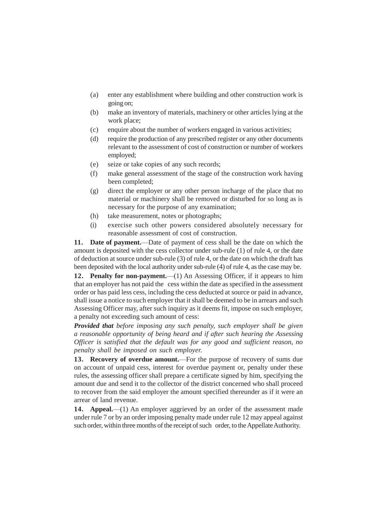- (a) enter any establishment where building and other construction work is going on;
- (b) make an inventory of materials, machinery or other articles lying at the work place;
- (c) enquire about the number of workers engaged in various activities;
- (d) require the production of any prescribed register or any other documents relevant to the assessment of cost of construction or number of workers employed;
- (e) seize or take copies of any such records;
- (f) make general assessment of the stage of the construction work having been completed;
- (g) direct the employer or any other person incharge of the place that no material or machinery shall be removed or disturbed for so long as is necessary for the purpose of any examination;
- (h) take measurement, notes or photographs;
- (i) exercise such other powers considered absolutely necessary for reasonable assessment of cost of construction.

**11. Date of payment.**—Date of payment of cess shall be the date on which the amount is deposited with the cess collector under sub-rule (1) of rule 4, or the date of deduction at source under sub-rule (3) of rule 4, or the date on which the draft has been deposited with the local authority under sub-rule (4) of rule 4, as the case may be.

**12. Penalty for non-payment.**—(1) An Assessing Officer, if it appears to him that an employer has not paid the cess within the date as specified in the assessment order or has paid less cess, including the cess deducted at source or paid in advance, shall issue a notice to such employer that it shall be deemed to be in arrears and such Assessing Officer may, after such inquiry as it deems fit, impose on such employer, a penalty not exceeding such amount of cess:

*Provided that before imposing any such penalty, such employer shall be given a reasonable opportunity of being heard and if after such hearing the Assessing Officer is satisfied that the default was for any good and sufficient reason, no penalty shall be imposed on such employer.*

**13. Recovery of overdue amount.**—For the purpose of recovery of sums due on account of unpaid cess, interest for overdue payment or, penalty under these rules, the assessing officer shall prepare a certificate signed by him, specifying the amount due and send it to the collector of the district concerned who shall proceed to recover from the said employer the amount specified thereunder as if it were an arrear of land revenue.

14. **Appeal.**—(1) An employer aggrieved by an order of the assessment made under rule 7 or by an order imposing penalty made under rule 12 may appeal against such order, within three months of the receipt of such order, to the Appellate Authority.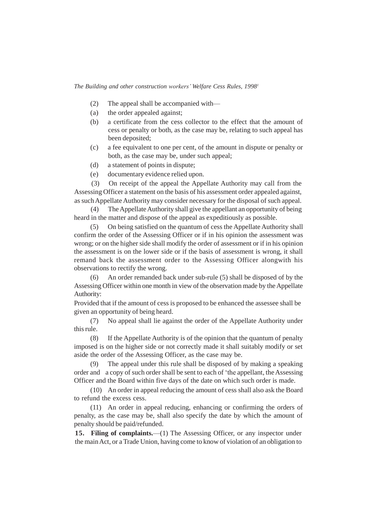*The Building and other construction workers' Welfare Cess Rules, 1998 1*

- (2) The appeal shall be accompanied with—
- (a) the order appealed against;
- (b) a certificate from the cess collector to the effect that the amount of cess or penalty or both, as the case may be, relating to such appeal has been deposited;
- (c) a fee equivalent to one per cent, of the amount in dispute or penalty or both, as the case may be, under such appeal;
- (d) a statement of points in dispute;
- (e) documentary evidence relied upon.

(3) On receipt of the appeal the Appellate Authority may call from the Assessing Officer a statement on the basis of his assessment order appealed against, as such Appellate Authority may consider necessary for the disposal of such appeal.

(4) TheAppellateAuthority shall give the appellant an opportunity of being heard in the matter and dispose of the appeal as expeditiously as possible.

(5) On being satisfied on the quantum of cess the Appellate Authority shall confirm the order of the Assessing Officer or if in his opinion the assessment was wrong; or on the higher side shall modify the order of assessment or if in his opinion the assessment is on the lower side or if the basis of assessment is wrong, it shall remand back the assessment order to the Assessing Officer alongwith his observations to rectify the wrong.

(6) An order remanded back under sub-rule (5) shall be disposed of by the Assessing Officer within one month in view of the observation made by the Appellate Authority:

Provided that if the amount of cess is proposed to be enhanced the assessee shall be given an opportunity of being heard.

(7) No appeal shall lie against the order of the Appellate Authority under this rule.

(8) If the Appellate Authority is of the opinion that the quantum of penalty imposed is on the higher side or not correctly made it shall suitably modify or set aside the order of the Assessing Officer, as the case may be.

(9) The appeal under this rule shall be disposed of by making a speaking order and a copy of such order shall be sent to each of 'the appellant, the Assessing Officer and the Board within five days of the date on which such order is made.

(10) An order in appeal reducing the amount of cess shall also ask the Board to refund the excess cess.

(11) An order in appeal reducing, enhancing or confirming the orders of penalty, as the case may be, shall also specify the date by which the amount of penalty should be paid/refunded.

**15. Filing of complaints.**—(1) The Assessing Officer, or any inspector under the mainAct, or a Trade Union, having come to know of violation of an obligation to